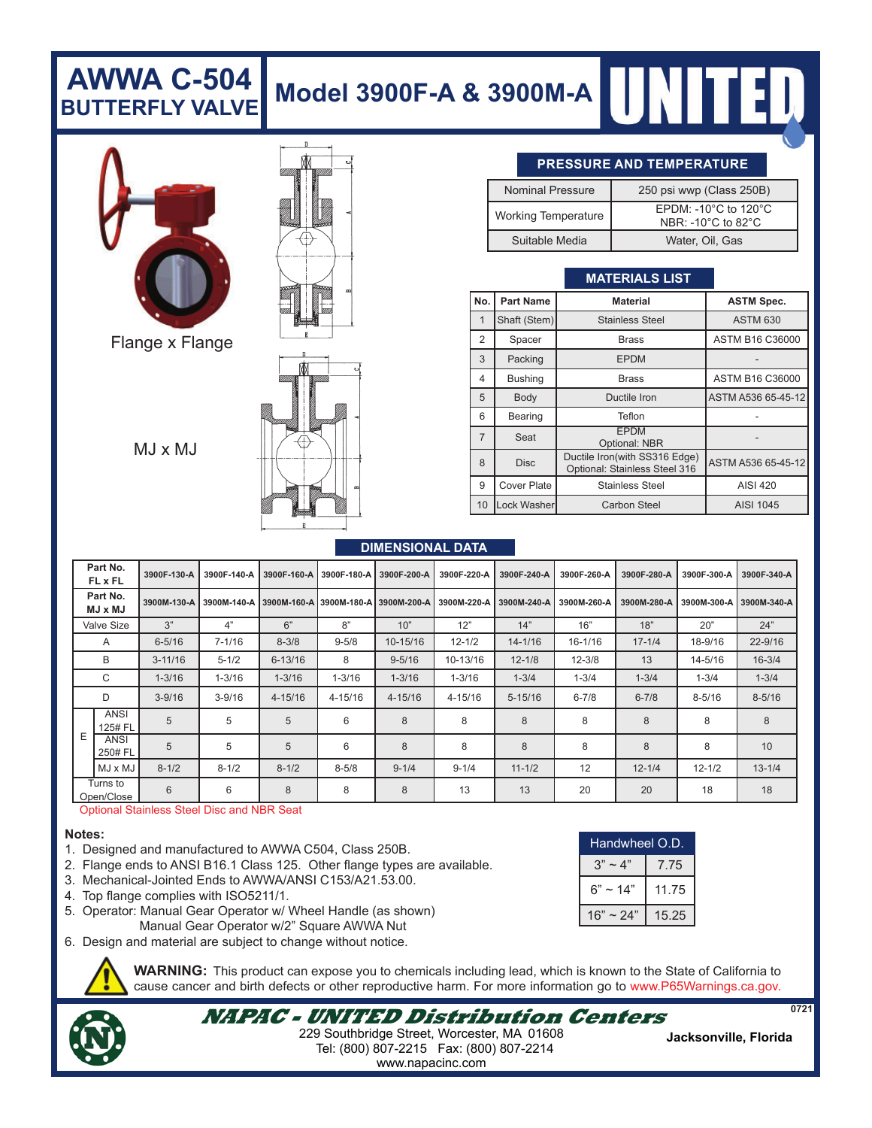## **Model 3900F-A & 3900M-A AWWA C-504 BUTTERFLY VALVE**



Flange x Flange

 $MJ \times MJ$ 



#### **PRESSURE AND TEMPERATURE**

| <b>Nominal Pressure</b>    | 250 psi wwp (Class 250B)                                                               |  |  |  |
|----------------------------|----------------------------------------------------------------------------------------|--|--|--|
| <b>Working Temperature</b> | EPDM: -10 $^{\circ}$ C to 120 $^{\circ}$ C<br>NBR: -10 $^{\circ}$ C to 82 $^{\circ}$ C |  |  |  |
| Suitable Media             | Water, Oil, Gas                                                                        |  |  |  |

## **MATERIALS LIST**

| No.            | <b>Part Name</b>                                                              | <b>Material</b>              | <b>ASTM Spec.</b>  |  |  |
|----------------|-------------------------------------------------------------------------------|------------------------------|--------------------|--|--|
|                | Shaft (Stem)                                                                  | <b>Stainless Steel</b>       | <b>ASTM 630</b>    |  |  |
| $\overline{2}$ | Spacer                                                                        | <b>Brass</b>                 | ASTM B16 C36000    |  |  |
| 3              | Packing                                                                       | <b>EPDM</b>                  |                    |  |  |
| 4              | <b>Bushing</b>                                                                | <b>Brass</b>                 | ASTM B16 C36000    |  |  |
| 5              | Body                                                                          | Ductile Iron                 | ASTM A536 65-45-12 |  |  |
| 6              | Bearing                                                                       | Teflon                       |                    |  |  |
| $\overline{7}$ | Seat                                                                          | <b>EPDM</b><br>Optional: NBR |                    |  |  |
| 8              | Ductile Iron(with SS316 Edge)<br><b>Disc</b><br>Optional: Stainless Steel 316 |                              | ASTM A536 65-45-12 |  |  |
| 9              | <b>Cover Plate</b>                                                            | <b>Stainless Steel</b>       | AISI 420           |  |  |
| 10             | Lock Washer                                                                   | Carbon Steel                 | AISI 1045          |  |  |

#### **DIMENSIONAL DATA**

|                   | Part No.<br><b>FL x FL</b> | 3900F-130-A | 3900F-140-A | 3900F-160-A | 3900F-180-A | 3900F-200-A             | 3900F-220-A | 3900F-240-A | 3900F-260-A | 3900F-280-A | 3900F-300-A | 3900F-340-A |
|-------------------|----------------------------|-------------|-------------|-------------|-------------|-------------------------|-------------|-------------|-------------|-------------|-------------|-------------|
|                   | Part No.<br><b>UM x LM</b> | 3900M-130-A | 3900M-140-A | 3900M-160-A |             | 3900M-180-A 3900M-200-A | 3900M-220-A | 3900M-240-A | 3900M-260-A | 3900M-280-A | 3900M-300-A | 3900M-340-A |
| <b>Valve Size</b> |                            | 3"          | 4"          | 6"          | 8"          | 10"                     | 12"         | 14"         | 16"         | 18"         | 20"         | 24"         |
|                   | A                          | $6 - 5/16$  | $7 - 1/16$  | $8 - 3/8$   | $9 - 5/8$   | 10-15/16                | $12 - 1/2$  | $14 - 1/16$ | $16 - 1/16$ | $17 - 1/4$  | 18-9/16     | 22-9/16     |
| B                 |                            | $3 - 11/16$ | $5 - 1/2$   | $6 - 13/16$ | 8           | $9 - 5/16$              | 10-13/16    | $12 - 1/8$  | $12 - 3/8$  | 13          | 14-5/16     | $16 - 3/4$  |
| C                 |                            | $1 - 3/16$  | $1 - 3/16$  | $1 - 3/16$  | $1 - 3/16$  | $1 - 3/16$              | $1 - 3/16$  | $1 - 3/4$   | $1 - 3/4$   | $1 - 3/4$   | $1 - 3/4$   | $1 - 3/4$   |
|                   | D                          | $3 - 9/16$  | $3 - 9/16$  | $4 - 15/16$ | 4-15/16     | $4 - 15/16$             | 4-15/16     | $5 - 15/16$ | $6 - 7/8$   | $6 - 7/8$   | $8 - 5/16$  | $8 - 5/16$  |
| Ε                 | ANSI<br>125# FL            | 5           | 5           | 5           | 6           | 8                       | 8           | 8           | 8           | 8           | 8           | 8           |
|                   | ANSI<br>250# FL            | 5           | 5           | 5           | 6           | 8                       | 8           | 8           | 8           | 8           | 8           | 10          |
|                   | $MJ \times MJ$             | $8 - 1/2$   | $8 - 1/2$   | $8 - 1/2$   | $8 - 5/8$   | $9 - 1/4$               | $9 - 1/4$   | $11 - 1/2$  | 12          | $12 - 1/4$  | $12 - 1/2$  | $13 - 1/4$  |
|                   | Turns to<br>Open/Close     | 6           | 6           | 8           | 8           | 8                       | 13          | 13          | 20          | 20          | 18          | 18          |

Optional Stainless Steel Disc and NBR Seat

#### **Notes:**

- 1. Designed and manufactured to AWWA C504, Class 250B.
- 2. Flange ends to ANSI B16.1 Class 125. Other flange types are available.
- 3. Mechanical-Jointed Ends to AWWA/ANSI C153/A21.53.00.
- 4. Top flange complies with ISO5211/1.
- 5. Operator: Manual Gear Operator w/ Wheel Handle (as shown) Manual Gear Operator w/2" Square AWWA Nut
- 6. Design and material are subject to change without notice.

**WARNING:** This product can expose you to chemicals including lead, which is known to the State of California to cause cancer and birth defects or other reproductive harm. For more information go to www.P65Warnings.ca.gov.

**NAPAC - UNITED Distribution Centers** Tel: (800) 807-2215 Fax: (800) 807-2214 **Jacksonville, Florida** 229 Southbridge Street, Worcester, MA 01608 www.napacinc.com

| Handwheel O.D. |       |  |  |  |
|----------------|-------|--|--|--|
| $3" \sim 4"$   | 7.75  |  |  |  |
| $6" \sim 14"$  | 11.75 |  |  |  |
| $16" \sim 24"$ | 15.25 |  |  |  |

**0721**